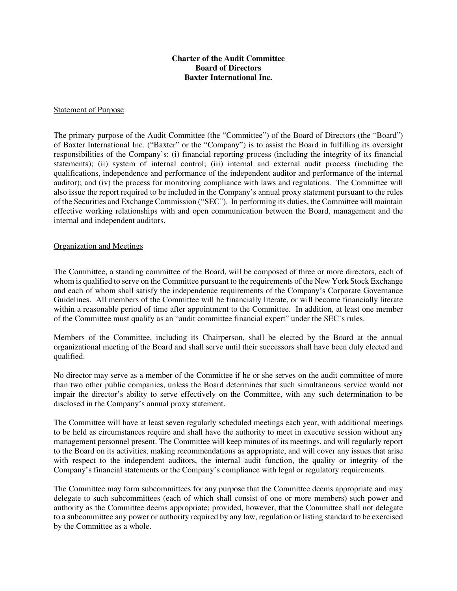# **Charter of the Audit Committee Board of Directors Baxter International Inc.**

#### Statement of Purpose

The primary purpose of the Audit Committee (the "Committee") of the Board of Directors (the "Board") of Baxter International Inc. ("Baxter" or the "Company") is to assist the Board in fulfilling its oversight responsibilities of the Company's: (i) financial reporting process (including the integrity of its financial statements); (ii) system of internal control; (iii) internal and external audit process (including the qualifications, independence and performance of the independent auditor and performance of the internal auditor); and (iv) the process for monitoring compliance with laws and regulations. The Committee will also issue the report required to be included in the Company's annual proxy statement pursuant to the rules of the Securities and Exchange Commission ("SEC"). In performing its duties, the Committee will maintain effective working relationships with and open communication between the Board, management and the internal and independent auditors.

#### Organization and Meetings

The Committee, a standing committee of the Board, will be composed of three or more directors, each of whom is qualified to serve on the Committee pursuant to the requirements of the New York Stock Exchange and each of whom shall satisfy the independence requirements of the Company's Corporate Governance Guidelines. All members of the Committee will be financially literate, or will become financially literate within a reasonable period of time after appointment to the Committee. In addition, at least one member of the Committee must qualify as an "audit committee financial expert" under the SEC's rules.

Members of the Committee, including its Chairperson, shall be elected by the Board at the annual organizational meeting of the Board and shall serve until their successors shall have been duly elected and qualified.

No director may serve as a member of the Committee if he or she serves on the audit committee of more than two other public companies, unless the Board determines that such simultaneous service would not impair the director's ability to serve effectively on the Committee, with any such determination to be disclosed in the Company's annual proxy statement.

The Committee will have at least seven regularly scheduled meetings each year, with additional meetings to be held as circumstances require and shall have the authority to meet in executive session without any management personnel present. The Committee will keep minutes of its meetings, and will regularly report to the Board on its activities, making recommendations as appropriate, and will cover any issues that arise with respect to the independent auditors, the internal audit function, the quality or integrity of the Company's financial statements or the Company's compliance with legal or regulatory requirements.

The Committee may form subcommittees for any purpose that the Committee deems appropriate and may delegate to such subcommittees (each of which shall consist of one or more members) such power and authority as the Committee deems appropriate; provided, however, that the Committee shall not delegate to a subcommittee any power or authority required by any law, regulation or listing standard to be exercised by the Committee as a whole.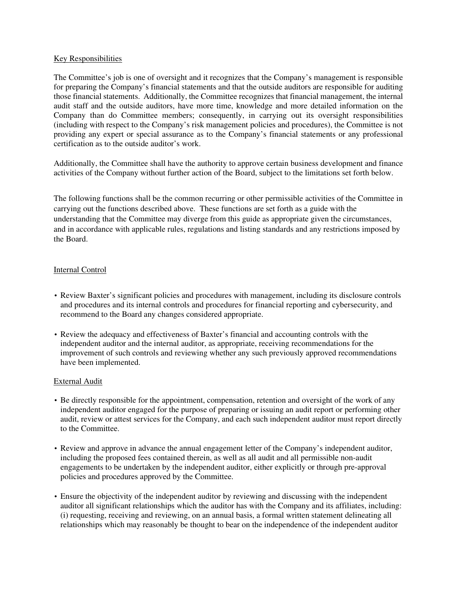## Key Responsibilities

The Committee's job is one of oversight and it recognizes that the Company's management is responsible for preparing the Company's financial statements and that the outside auditors are responsible for auditing those financial statements. Additionally, the Committee recognizes that financial management, the internal audit staff and the outside auditors, have more time, knowledge and more detailed information on the Company than do Committee members; consequently, in carrying out its oversight responsibilities (including with respect to the Company's risk management policies and procedures), the Committee is not providing any expert or special assurance as to the Company's financial statements or any professional certification as to the outside auditor's work.

Additionally, the Committee shall have the authority to approve certain business development and finance activities of the Company without further action of the Board, subject to the limitations set forth below.

The following functions shall be the common recurring or other permissible activities of the Committee in carrying out the functions described above. These functions are set forth as a guide with the understanding that the Committee may diverge from this guide as appropriate given the circumstances, and in accordance with applicable rules, regulations and listing standards and any restrictions imposed by the Board.

## Internal Control

- Review Baxter's significant policies and procedures with management, including its disclosure controls and procedures and its internal controls and procedures for financial reporting and cybersecurity, and recommend to the Board any changes considered appropriate.
- Review the adequacy and effectiveness of Baxter's financial and accounting controls with the independent auditor and the internal auditor, as appropriate, receiving recommendations for the improvement of such controls and reviewing whether any such previously approved recommendations have been implemented.

## External Audit

- Be directly responsible for the appointment, compensation, retention and oversight of the work of any independent auditor engaged for the purpose of preparing or issuing an audit report or performing other audit, review or attest services for the Company, and each such independent auditor must report directly to the Committee.
- Review and approve in advance the annual engagement letter of the Company's independent auditor, including the proposed fees contained therein, as well as all audit and all permissible non-audit engagements to be undertaken by the independent auditor, either explicitly or through pre-approval policies and procedures approved by the Committee.
- Ensure the objectivity of the independent auditor by reviewing and discussing with the independent auditor all significant relationships which the auditor has with the Company and its affiliates, including: (i) requesting, receiving and reviewing, on an annual basis, a formal written statement delineating all relationships which may reasonably be thought to bear on the independence of the independent auditor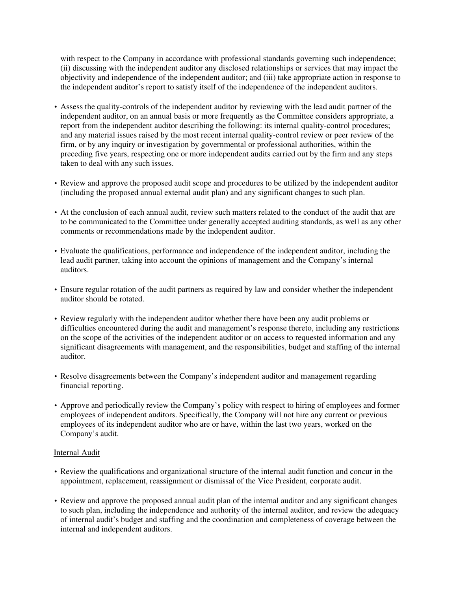with respect to the Company in accordance with professional standards governing such independence; (ii) discussing with the independent auditor any disclosed relationships or services that may impact the objectivity and independence of the independent auditor; and (iii) take appropriate action in response to the independent auditor's report to satisfy itself of the independence of the independent auditors.

- Assess the quality-controls of the independent auditor by reviewing with the lead audit partner of the independent auditor, on an annual basis or more frequently as the Committee considers appropriate, a report from the independent auditor describing the following: its internal quality-control procedures; and any material issues raised by the most recent internal quality-control review or peer review of the firm, or by any inquiry or investigation by governmental or professional authorities, within the preceding five years, respecting one or more independent audits carried out by the firm and any steps taken to deal with any such issues.
- Review and approve the proposed audit scope and procedures to be utilized by the independent auditor (including the proposed annual external audit plan) and any significant changes to such plan.
- At the conclusion of each annual audit, review such matters related to the conduct of the audit that are to be communicated to the Committee under generally accepted auditing standards, as well as any other comments or recommendations made by the independent auditor.
- Evaluate the qualifications, performance and independence of the independent auditor, including the lead audit partner, taking into account the opinions of management and the Company's internal auditors.
- Ensure regular rotation of the audit partners as required by law and consider whether the independent auditor should be rotated.
- Review regularly with the independent auditor whether there have been any audit problems or difficulties encountered during the audit and management's response thereto, including any restrictions on the scope of the activities of the independent auditor or on access to requested information and any significant disagreements with management, and the responsibilities, budget and staffing of the internal auditor.
- Resolve disagreements between the Company's independent auditor and management regarding financial reporting.
- Approve and periodically review the Company's policy with respect to hiring of employees and former employees of independent auditors. Specifically, the Company will not hire any current or previous employees of its independent auditor who are or have, within the last two years, worked on the Company's audit.

## Internal Audit

- Review the qualifications and organizational structure of the internal audit function and concur in the appointment, replacement, reassignment or dismissal of the Vice President, corporate audit.
- Review and approve the proposed annual audit plan of the internal auditor and any significant changes to such plan, including the independence and authority of the internal auditor, and review the adequacy of internal audit's budget and staffing and the coordination and completeness of coverage between the internal and independent auditors.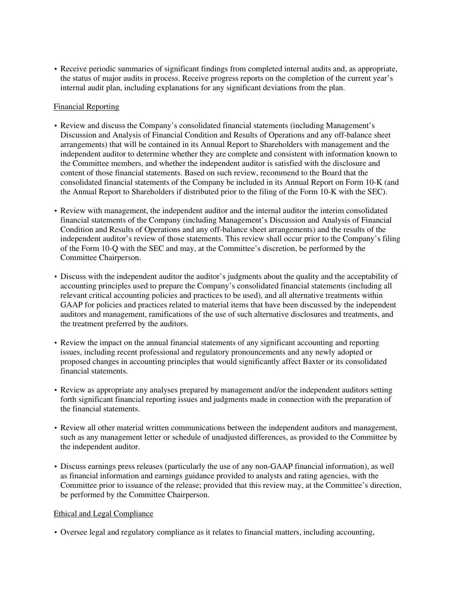• Receive periodic summaries of significant findings from completed internal audits and, as appropriate, the status of major audits in process. Receive progress reports on the completion of the current year's internal audit plan, including explanations for any significant deviations from the plan.

## Financial Reporting

- Review and discuss the Company's consolidated financial statements (including Management's Discussion and Analysis of Financial Condition and Results of Operations and any off-balance sheet arrangements) that will be contained in its Annual Report to Shareholders with management and the independent auditor to determine whether they are complete and consistent with information known to the Committee members, and whether the independent auditor is satisfied with the disclosure and content of those financial statements. Based on such review, recommend to the Board that the consolidated financial statements of the Company be included in its Annual Report on Form 10-K (and the Annual Report to Shareholders if distributed prior to the filing of the Form 10-K with the SEC).
- Review with management, the independent auditor and the internal auditor the interim consolidated financial statements of the Company (including Management's Discussion and Analysis of Financial Condition and Results of Operations and any off-balance sheet arrangements) and the results of the independent auditor's review of those statements. This review shall occur prior to the Company's filing of the Form 10-Q with the SEC and may, at the Committee's discretion, be performed by the Committee Chairperson.
- Discuss with the independent auditor the auditor's judgments about the quality and the acceptability of accounting principles used to prepare the Company's consolidated financial statements (including all relevant critical accounting policies and practices to be used), and all alternative treatments within GAAP for policies and practices related to material items that have been discussed by the independent auditors and management, ramifications of the use of such alternative disclosures and treatments, and the treatment preferred by the auditors.
- Review the impact on the annual financial statements of any significant accounting and reporting issues, including recent professional and regulatory pronouncements and any newly adopted or proposed changes in accounting principles that would significantly affect Baxter or its consolidated financial statements.
- Review as appropriate any analyses prepared by management and/or the independent auditors setting forth significant financial reporting issues and judgments made in connection with the preparation of the financial statements.
- Review all other material written communications between the independent auditors and management, such as any management letter or schedule of unadjusted differences, as provided to the Committee by the independent auditor.
- Discuss earnings press releases (particularly the use of any non-GAAP financial information), as well as financial information and earnings guidance provided to analysts and rating agencies, with the Committee prior to issuance of the release; provided that this review may, at the Committee's direction, be performed by the Committee Chairperson.

## Ethical and Legal Compliance

• Oversee legal and regulatory compliance as it relates to financial matters, including accounting,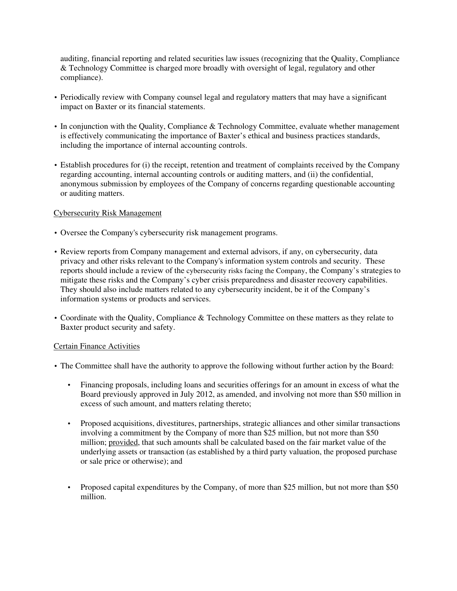auditing, financial reporting and related securities law issues (recognizing that the Quality, Compliance & Technology Committee is charged more broadly with oversight of legal, regulatory and other compliance).

- Periodically review with Company counsel legal and regulatory matters that may have a significant impact on Baxter or its financial statements.
- In conjunction with the Quality, Compliance & Technology Committee, evaluate whether management is effectively communicating the importance of Baxter's ethical and business practices standards, including the importance of internal accounting controls.
- Establish procedures for (i) the receipt, retention and treatment of complaints received by the Company regarding accounting, internal accounting controls or auditing matters, and (ii) the confidential, anonymous submission by employees of the Company of concerns regarding questionable accounting or auditing matters.

## Cybersecurity Risk Management

- Oversee the Company's cybersecurity risk management programs.
- Review reports from Company management and external advisors, if any, on cybersecurity, data privacy and other risks relevant to the Company's information system controls and security. These reports should include a review of the cybersecurity risks facing the Company, the Company's strategies to mitigate these risks and the Company's cyber crisis preparedness and disaster recovery capabilities. They should also include matters related to any cybersecurity incident, be it of the Company's information systems or products and services.
- Coordinate with the Quality, Compliance & Technology Committee on these matters as they relate to Baxter product security and safety.

## Certain Finance Activities

- The Committee shall have the authority to approve the following without further action by the Board:
	- Financing proposals, including loans and securities offerings for an amount in excess of what the Board previously approved in July 2012, as amended, and involving not more than \$50 million in excess of such amount, and matters relating thereto;
	- Proposed acquisitions, divestitures, partnerships, strategic alliances and other similar transactions involving a commitment by the Company of more than \$25 million, but not more than \$50 million; provided, that such amounts shall be calculated based on the fair market value of the underlying assets or transaction (as established by a third party valuation, the proposed purchase or sale price or otherwise); and
	- Proposed capital expenditures by the Company, of more than \$25 million, but not more than \$50 million.